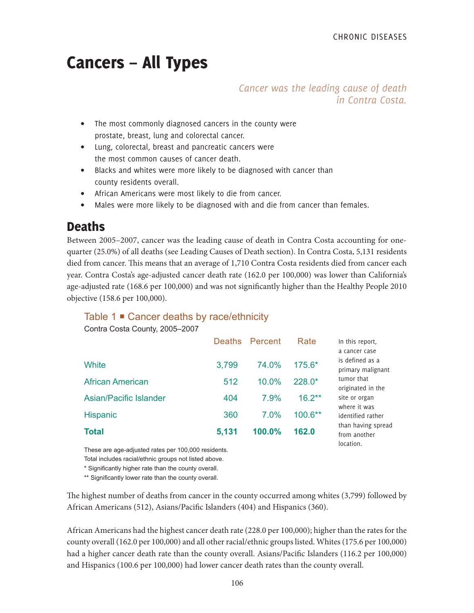# Cancers – All Types

*Cancer was the leading cause of death in Contra Costa.*

- The most commonly diagnosed cancers in the county were prostate, breast, lung and colorectal cancer.
- Lung, colorectal, breast and pancreatic cancers were the most common causes of cancer death.
- Blacks and whites were more likely to be diagnosed with cancer than county residents overall.
- African Americans were most likely to die from cancer.
- Males were more likely to be diagnosed with and die from cancer than females.

# **Deaths**

Between 2005–2007, cancer was the leading cause of death in Contra Costa accounting for onequarter (25.0%) of all deaths (see Leading Causes of Death section). In Contra Costa, 5,131 residents died from cancer. This means that an average of 1,710 Contra Costa residents died from cancer each year. Contra Costa's age-adjusted cancer death rate (162.0 per 100,000) was lower than California's age-adjusted rate (168.6 per 100,000) and was not significantly higher than the Healthy People 2010 objective (158.6 per 100,000).

### Table 1 **■** Cancer deaths by race/ethnicity

Contra Costa County, 2005–2007

|                         |       | Deaths Percent | Rate      | In this report,<br>a cancer case                |
|-------------------------|-------|----------------|-----------|-------------------------------------------------|
| White                   | 3,799 | 74.0%          | 175.6*    | is defined as a<br>primary malignant            |
| <b>African American</b> | 512   | 10.0%          | 228.0*    | tumor that<br>originated in the                 |
| Asian/Pacific Islander  | 404   | 7.9%           | $16.2***$ | site or organ<br>where it was                   |
| Hispanic                | 360   | 7.0%           | $100.6**$ | identified rather                               |
| <b>Total</b>            | 5,131 | 100.0%         | 162.0     | than having spread<br>from another<br>location. |

These are age-adjusted rates per 100,000 residents.

Total includes racial/ethnic groups not listed above.

\* Significantly higher rate than the county overall.

\*\* Significantly lower rate than the county overall.

The highest number of deaths from cancer in the county occurred among whites (3,799) followed by African Americans (512), Asians/Pacific Islanders (404) and Hispanics (360).

African Americans had the highest cancer death rate (228.0 per 100,000); higher than the rates for the county overall (162.0 per 100,000) and all other racial/ethnic groups listed. Whites (175.6 per 100,000) had a higher cancer death rate than the county overall. Asians/Pacific Islanders (116.2 per 100,000) and Hispanics (100.6 per 100,000) had lower cancer death rates than the county overall.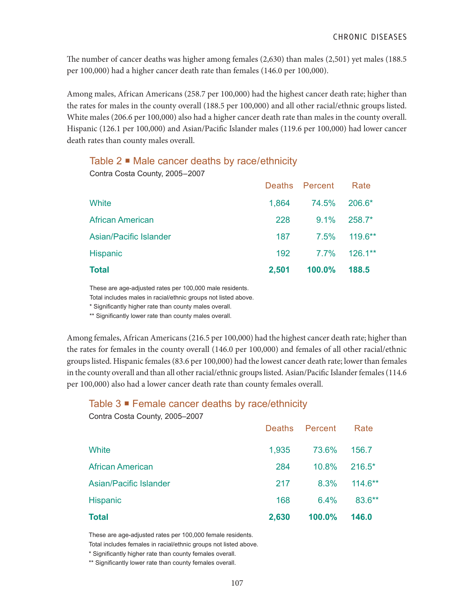The number of cancer deaths was higher among females (2,630) than males (2,501) yet males (188.5 per 100,000) had a higher cancer death rate than females (146.0 per 100,000).

Among males, African Americans (258.7 per 100,000) had the highest cancer death rate; higher than the rates for males in the county overall (188.5 per 100,000) and all other racial/ethnic groups listed. White males (206.6 per 100,000) also had a higher cancer death rate than males in the county overall. Hispanic (126.1 per 100,000) and Asian/Pacific Islander males (119.6 per 100,000) had lower cancer death rates than county males overall.

### Table  $2 \blacksquare$  Male cancer deaths by race/ethnicity

Contra Costa County, 2005–2007

|                               |       | Deaths Percent | Rate      |
|-------------------------------|-------|----------------|-----------|
| White                         | 1,864 | 74.5%          | $206.6*$  |
| <b>African American</b>       | 228   | $9.1\%$        | $258.7*$  |
| <b>Asian/Pacific Islander</b> | 187   | 7.5%           | $119.6**$ |
| Hispanic                      | 192   | 7.7%           | $126.1**$ |
| <b>Total</b>                  | 2,501 | 100.0%         | 188.5     |

These are age-adjusted rates per 100,000 male residents.

Total includes males in racial/ethnic groups not listed above.

\* Significantly higher rate than county males overall.

\*\* Significantly lower rate than county males overall.

Among females, African Americans (216.5 per 100,000) had the highest cancer death rate; higher than the rates for females in the county overall (146.0 per 100,000) and females of all other racial/ethnic groups listed. Hispanic females (83.6 per 100,000) had the lowest cancer death rate; lower than females in the county overall and than all other racial/ethnic groups listed. Asian/Pacific Islander females (114.6 per 100,000) also had a lower cancer death rate than county females overall.

### Table 3 ■ Female cancer deaths by race/ethnicity

Contra Costa County, 2005–2007

| <b>Total</b>            | 2,630         | 100.0%  | 146.0     |
|-------------------------|---------------|---------|-----------|
| <b>Hispanic</b>         | 168           | $6.4\%$ | 83.6**    |
| Asian/Pacific Islander  | 217           | 8.3%    | $114.6**$ |
| <b>African American</b> | 284           | 10.8%   | $216.5*$  |
| White                   | 1,935         | 73.6%   | 156.7     |
|                         | <b>Deaths</b> | Percent | Rate      |

These are age-adjusted rates per 100,000 female residents.

Total includes females in racial/ethnic groups not listed above.

\* Significantly higher rate than county females overall.

\*\* Significantly lower rate than county females overall.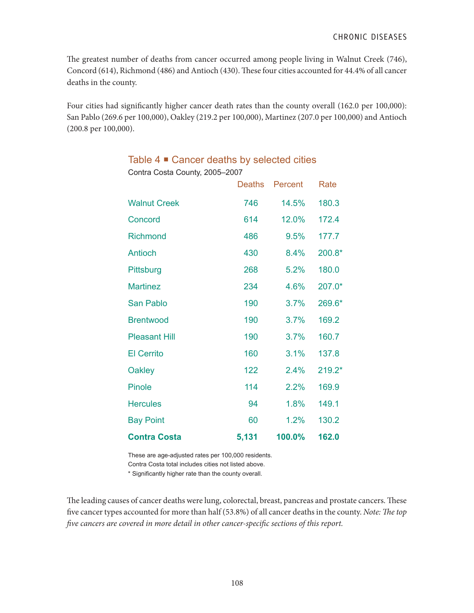The greatest number of deaths from cancer occurred among people living in Walnut Creek (746), Concord (614), Richmond (486) and Antioch (430). These four cities accounted for 44.4% of all cancer deaths in the county.

Four cities had significantly higher cancer death rates than the county overall (162.0 per 100,000): San Pablo (269.6 per 100,000), Oakley (219.2 per 100,000), Martinez (207.0 per 100,000) and Antioch (200.8 per 100,000).

|                      | Deaths | Percent | Rate   |
|----------------------|--------|---------|--------|
| <b>Walnut Creek</b>  | 746    | 14.5%   | 180.3  |
| Concord              | 614    | 12.0%   | 172.4  |
| <b>Richmond</b>      | 486    | 9.5%    | 177.7  |
| Antioch              | 430    | $8.4\%$ | 200.8* |
| Pittsburg            | 268    | 5.2%    | 180.0  |
| <b>Martinez</b>      | 234    | 4.6%    | 207.0* |
| <b>San Pablo</b>     | 190    | 3.7%    | 269.6* |
| <b>Brentwood</b>     | 190    | 3.7%    | 169.2  |
| <b>Pleasant Hill</b> | 190    | 3.7%    | 160.7  |
| <b>El Cerrito</b>    | 160    | 3.1%    | 137.8  |
| <b>Oakley</b>        | 122    | 2.4%    | 219.2* |
| <b>Pinole</b>        | 114    | 2.2%    | 169.9  |
| <b>Hercules</b>      | 94     | 1.8%    | 149.1  |
| <b>Bay Point</b>     | 60     | 1.2%    | 130.2  |
| <b>Contra Costa</b>  | 5,131  | 100.0%  | 162.0  |

### Table  $4 \blacksquare$  Cancer deaths by selected cities

Contra Costa County, 2005–2007

These are age-adjusted rates per 100,000 residents.

Contra Costa total includes cities not listed above.

\* Significantly higher rate than the county overall.

The leading causes of cancer deaths were lung, colorectal, breast, pancreas and prostate cancers. These five cancer types accounted for more than half (53.8%) of all cancer deaths in the county. *Note: The top five cancers are covered in more detail in other cancer-specific sections of this report.*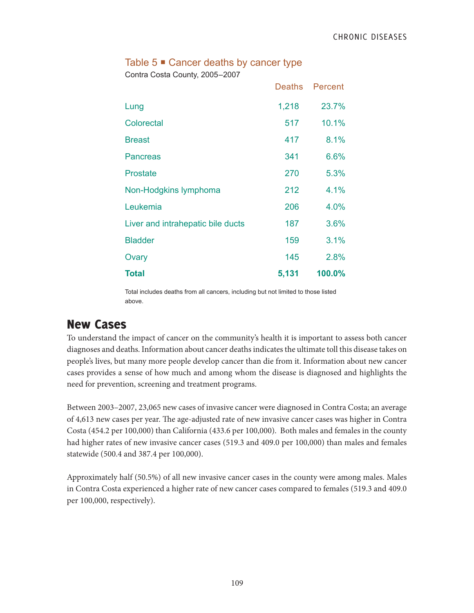### Table  $5 \equiv$  Cancer deaths by cancer type

Contra Costa County, 2005–2007

|                                   | <b>Deaths</b> | Percent |
|-----------------------------------|---------------|---------|
| Lung                              | 1,218         | 23.7%   |
| Colorectal                        | 517           | 10.1%   |
| <b>Breast</b>                     | 417           | 8.1%    |
| Pancreas                          | 341           | 6.6%    |
| Prostate                          | 270           | 5.3%    |
| Non-Hodgkins lymphoma             | 212           | 4.1%    |
| Leukemia                          | 206           | 4.0%    |
| Liver and intrahepatic bile ducts | 187           | 3.6%    |
| <b>Bladder</b>                    | 159           | 3.1%    |
| Ovary                             | 145           | 2.8%    |
| <b>Total</b>                      | 5,131         | 100.0%  |

Total includes deaths from all cancers, including but not limited to those listed above.

## New Cases

To understand the impact of cancer on the community's health it is important to assess both cancer diagnoses and deaths. Information about cancer deaths indicates the ultimate toll this disease takes on people's lives, but many more people develop cancer than die from it. Information about new cancer cases provides a sense of how much and among whom the disease is diagnosed and highlights the need for prevention, screening and treatment programs.

Between 2003–2007, 23,065 new cases of invasive cancer were diagnosed in Contra Costa; an average of 4,613 new cases per year. The age-adjusted rate of new invasive cancer cases was higher in Contra Costa (454.2 per 100,000) than California (433.6 per 100,000). Both males and females in the county had higher rates of new invasive cancer cases (519.3 and 409.0 per 100,000) than males and females statewide (500.4 and 387.4 per 100,000).

Approximately half (50.5%) of all new invasive cancer cases in the county were among males. Males in Contra Costa experienced a higher rate of new cancer cases compared to females (519.3 and 409.0 per 100,000, respectively).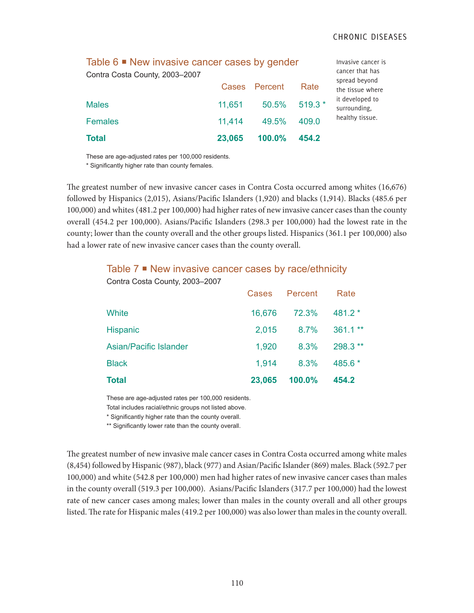is

| Contra Costa County, 2003-2007 | Table 6 $\blacksquare$ New invasive cancer cases by gender |               |         |                                   |  |
|--------------------------------|------------------------------------------------------------|---------------|---------|-----------------------------------|--|
|                                |                                                            | Cases Percent | Rate    | spread beyond<br>the tissue where |  |
| <b>Males</b>                   | 11,651                                                     | 50.5%         | 519.3 * | it developed to<br>surrounding,   |  |
| <b>Females</b>                 | 11,414                                                     | 49.5%         | 409.0   | healthy tissue.                   |  |
| <b>Total</b>                   | 23,065                                                     | 100.0%        | 454.2   |                                   |  |

These are age-adjusted rates per 100,000 residents.

\* Significantly higher rate than county females.

The greatest number of new invasive cancer cases in Contra Costa occurred among whites (16,676) followed by Hispanics (2,015), Asians/Pacific Islanders (1,920) and blacks (1,914). Blacks (485.6 per 100,000) and whites (481.2 per 100,000) had higher rates of new invasive cancer cases than the county overall (454.2 per 100,000). Asians/Pacific Islanders (298.3 per 100,000) had the lowest rate in the county; lower than the county overall and the other groups listed. Hispanics (361.1 per 100,000) also had a lower rate of new invasive cancer cases than the county overall.

#### Table 7 **■** New invasive cancer cases by race/ethnicity

| <b>Total</b>                   | 23,065 | 100.0%  | 454.2    |
|--------------------------------|--------|---------|----------|
| <b>Black</b>                   | 1,914  | 8.3%    | $485.6*$ |
| <b>Asian/Pacific Islander</b>  | 1,920  | 8.3%    | 298.3 ** |
| <b>Hispanic</b>                | 2,015  | 8.7%    | 361.1 ** |
| White                          | 16,676 | 72.3%   | 481.2 *  |
|                                | Cases  | Percent | Rate     |
| Contra Costa County, 2003-2007 |        |         |          |

These are age-adjusted rates per 100,000 residents.

Total includes racial/ethnic groups not listed above.

\* Significantly higher rate than the county overall.

\*\* Significantly lower rate than the county overall.

The greatest number of new invasive male cancer cases in Contra Costa occurred among white males (8,454) followed by Hispanic (987), black (977) and Asian/Pacific Islander (869) males. Black (592.7 per 100,000) and white (542.8 per 100,000) men had higher rates of new invasive cancer cases than males in the county overall (519.3 per 100,000). Asians/Pacific Islanders (317.7 per 100,000) had the lowest rate of new cancer cases among males; lower than males in the county overall and all other groups listed. The rate for Hispanic males (419.2 per 100,000) was also lower than males in the county overall.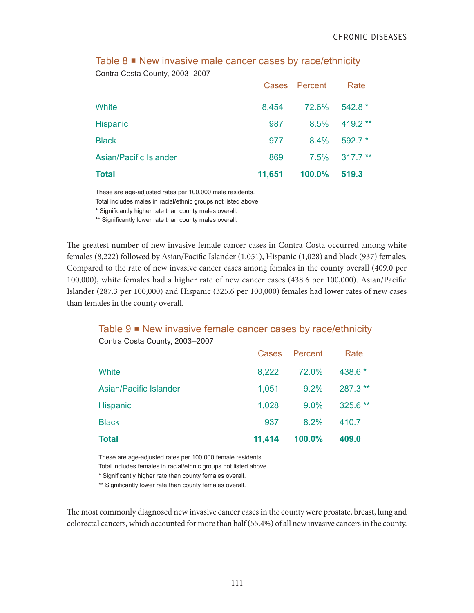| <b>Total</b>           | 11,651 | 100.0%        | 519.3     |
|------------------------|--------|---------------|-----------|
| Asian/Pacific Islander | 869    | 7.5%          | $317.7**$ |
| <b>Black</b>           | 977    | 8.4%          | $592.7*$  |
| <b>Hispanic</b>        | 987    | 8.5%          | 419.2 **  |
| White                  | 8,454  | 72.6%         | $542.8*$  |
|                        |        | Cases Percent | Rate      |

### Table 8  $\blacksquare$  New invasive male cancer cases by race/ethnicity Contra Costa County, 2003–2007

These are age-adjusted rates per 100,000 male residents.

Total includes males in racial/ethnic groups not listed above.

\* Significantly higher rate than county males overall.

\*\* Significantly lower rate than county males overall.

The greatest number of new invasive female cancer cases in Contra Costa occurred among white females (8,222) followed by Asian/Pacific Islander (1,051), Hispanic (1,028) and black (937) females. Compared to the rate of new invasive cancer cases among females in the county overall (409.0 per 100,000), white females had a higher rate of new cancer cases (438.6 per 100,000). Asian/Pacific Islander (287.3 per 100,000) and Hispanic (325.6 per 100,000) females had lower rates of new cases than females in the county overall.

### Table 9 ■ New invasive female cancer cases by race/ethnicity

| <b>Total</b>                  | 11,414 | 100.0%        | 409.0    |
|-------------------------------|--------|---------------|----------|
| <b>Black</b>                  | 937    | 8.2%          | 410.7    |
| <b>Hispanic</b>               | 1,028  | $9.0\%$       | 325.6 ** |
| <b>Asian/Pacific Islander</b> | 1,051  | 9.2%          | 287.3 ** |
| <b>White</b>                  | 8,222  | 72.0%         | 438.6 *  |
|                               |        | Cases Percent | Rate     |

Contra Costa County, 2003–2007

These are age-adjusted rates per 100,000 female residents.

Total includes females in racial/ethnic groups not listed above.

\* Significantly higher rate than county females overall.

\*\* Significantly lower rate than county females overall.

The most commonly diagnosed new invasive cancer cases in the county were prostate, breast, lung and colorectal cancers, which accounted for more than half (55.4%) of all new invasive cancers in the county.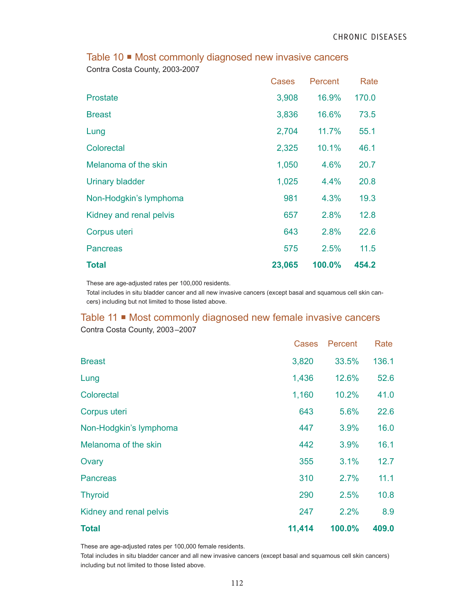|                         | Cases  | Percent | Rate  |
|-------------------------|--------|---------|-------|
| <b>Prostate</b>         | 3,908  | 16.9%   | 170.0 |
| <b>Breast</b>           | 3,836  | 16.6%   | 73.5  |
| Lung                    | 2,704  | 11.7%   | 55.1  |
| Colorectal              | 2,325  | 10.1%   | 46.1  |
| Melanoma of the skin    | 1,050  | 4.6%    | 20.7  |
| <b>Urinary bladder</b>  | 1,025  | 4.4%    | 20.8  |
| Non-Hodgkin's lymphoma  | 981    | 4.3%    | 19.3  |
| Kidney and renal pelvis | 657    | 2.8%    | 12.8  |
| Corpus uteri            | 643    | 2.8%    | 22.6  |
| <b>Pancreas</b>         | 575    | 2.5%    | 11.5  |
| <b>Total</b>            | 23,065 | 100.0%  | 454.2 |

### Table 10  $\blacksquare$  Most commonly diagnosed new invasive cancers

Contra Costa County, 2003-2007

These are age-adjusted rates per 100,000 residents.

Total includes in situ bladder cancer and all new invasive cancers (except basal and squamous cell skin cancers) including but not limited to those listed above.

### Table 11 **Most commonly diagnosed new female invasive cancers** Contra Costa County, 2003–2007

|                         | Cases  | Percent | Rate  |
|-------------------------|--------|---------|-------|
| <b>Breast</b>           | 3,820  | 33.5%   | 136.1 |
| Lung                    | 1,436  | 12.6%   | 52.6  |
| Colorectal              | 1,160  | 10.2%   | 41.0  |
| Corpus uteri            | 643    | 5.6%    | 22.6  |
| Non-Hodgkin's lymphoma  | 447    | 3.9%    | 16.0  |
| Melanoma of the skin    | 442    | 3.9%    | 16.1  |
| Ovary                   | 355    | 3.1%    | 12.7  |
| <b>Pancreas</b>         | 310    | 2.7%    | 11.1  |
| <b>Thyroid</b>          | 290    | 2.5%    | 10.8  |
| Kidney and renal pelvis | 247    | 2.2%    | 8.9   |
| <b>Total</b>            | 11,414 | 100.0%  | 409.0 |

These are age-adjusted rates per 100,000 female residents.

Total includes in situ bladder cancer and all new invasive cancers (except basal and squamous cell skin cancers) including but not limited to those listed above.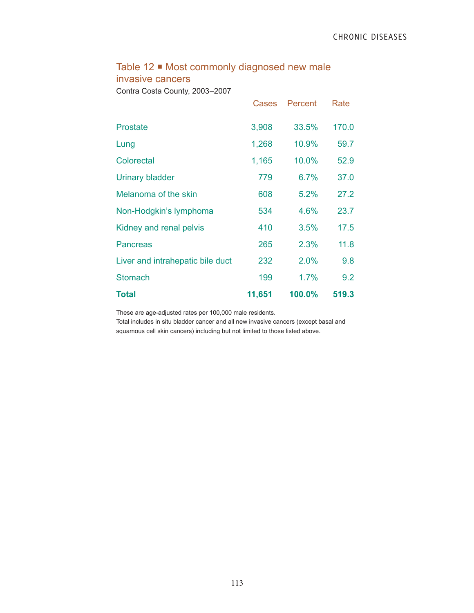### Table 12 **•** Most commonly diagnosed new male invasive cancers

Contra Costa County, 2003–2007

|                                  | Cases  | Percent | Rate  |
|----------------------------------|--------|---------|-------|
| Prostate                         | 3,908  | 33.5%   | 170.0 |
| Lung                             | 1,268  | 10.9%   | 59.7  |
| Colorectal                       | 1,165  | 10.0%   | 52.9  |
| <b>Urinary bladder</b>           | 779    | 6.7%    | 37.0  |
| Melanoma of the skin             | 608    | 5.2%    | 27.2  |
| Non-Hodgkin's lymphoma           | 534    | 4.6%    | 23.7  |
| Kidney and renal pelvis          | 410    | 3.5%    | 17.5  |
| Pancreas                         | 265    | 2.3%    | 11.8  |
| Liver and intrahepatic bile duct | 232    | 2.0%    | 9.8   |
| <b>Stomach</b>                   | 199    | 1.7%    | 9.2   |
| <b>Total</b>                     | 11,651 | 100.0%  | 519.3 |

These are age-adjusted rates per 100,000 male residents.

Total includes in situ bladder cancer and all new invasive cancers (except basal and squamous cell skin cancers) including but not limited to those listed above.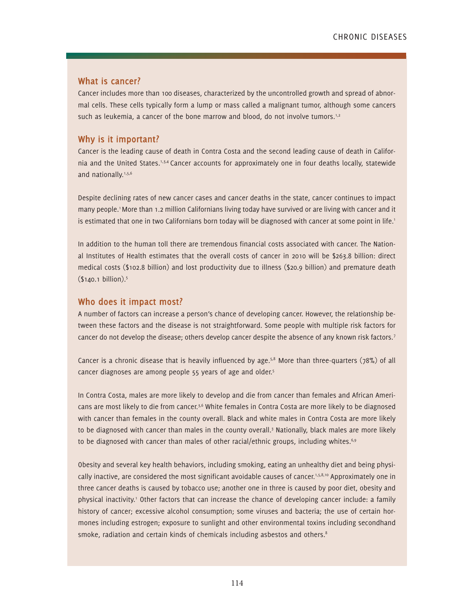### **What is cancer?**

Cancer includes more than 100 diseases, characterized by the uncontrolled growth and spread of abnormal cells. These cells typically form a lump or mass called a malignant tumor, although some cancers such as leukemia, a cancer of the bone marrow and blood, do not involve tumors.<sup>1,2</sup>

### **Why is it important?**

Cancer is the leading cause of death in Contra Costa and the second leading cause of death in California and the United States.1,3,4 Cancer accounts for approximately one in four deaths locally, statewide and nationally.<sup>1,5,6</sup>

Despite declining rates of new cancer cases and cancer deaths in the state, cancer continues to impact many people.<sup>1</sup> More than 1.2 million Californians living today have survived or are living with cancer and it is estimated that one in two Californians born today will be diagnosed with cancer at some point in life.<sup>1</sup>

In addition to the human toll there are tremendous financial costs associated with cancer. The National Institutes of Health estimates that the overall costs of cancer in 2010 will be \$263.8 billion: direct medical costs (\$102.8 billion) and lost productivity due to illness (\$20.9 billion) and premature death (\$140.1 billion).5

### **Who does it impact most?**

A number of factors can increase a person's chance of developing cancer. However, the relationship between these factors and the disease is not straightforward. Some people with multiple risk factors for cancer do not develop the disease; others develop cancer despite the absence of any known risk factors.<sup>7</sup>

Cancer is a chronic disease that is heavily influenced by age.5,8 More than three-quarters (78%) of all cancer diagnoses are among people 55 years of age and older.5

In Contra Costa, males are more likely to develop and die from cancer than females and African Americans are most likely to die from cancer.<sup>3,6</sup> White females in Contra Costa are more likely to be diagnosed with cancer than females in the county overall. Black and white males in Contra Costa are more likely to be diagnosed with cancer than males in the county overall.<sup>3</sup> Nationally, black males are more likely to be diagnosed with cancer than males of other racial/ethnic groups, including whites. $6.9$ 

Obesity and several key health behaviors, including smoking, eating an unhealthy diet and being physically inactive, are considered the most significant avoidable causes of cancer.<sup>1,5,8,10</sup> Approximately one in three cancer deaths is caused by tobacco use; another one in three is caused by poor diet, obesity and physical inactivity.<sup>1</sup> Other factors that can increase the chance of developing cancer include: a family history of cancer; excessive alcohol consumption; some viruses and bacteria; the use of certain hormones including estrogen; exposure to sunlight and other environmental toxins including secondhand smoke, radiation and certain kinds of chemicals including asbestos and others.<sup>8</sup>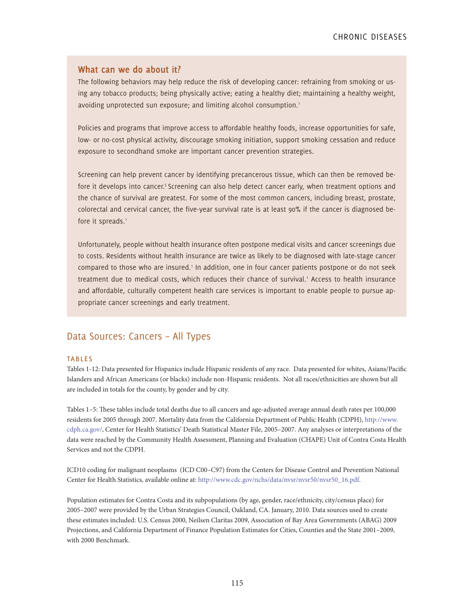### **What can we do about it?**

The following behaviors may help reduce the risk of developing cancer: refraining from smoking or using any tobacco products; being physically active; eating a healthy diet; maintaining a healthy weight, avoiding unprotected sun exposure; and limiting alcohol consumption.<sup>1</sup>

Policies and programs that improve access to affordable healthy foods, increase opportunities for safe, low- or no-cost physical activity, discourage smoking initiation, support smoking cessation and reduce exposure to secondhand smoke are important cancer prevention strategies.

Screening can help prevent cancer by identifying precancerous tissue, which can then be removed before it develops into cancer.<sup>5</sup> Screening can also help detect cancer early, when treatment options and the chance of survival are greatest. For some of the most common cancers, including breast, prostate, colorectal and cervical cancer, the five-year survival rate is at least 90% if the cancer is diagnosed before it spreads.<sup>1</sup>

Unfortunately, people without health insurance often postpone medical visits and cancer screenings due to costs. Residents without health insurance are twice as likely to be diagnosed with late-stage cancer compared to those who are insured.<sup>1</sup> In addition, one in four cancer patients postpone or do not seek treatment due to medical costs, which reduces their chance of survival.<sup>1</sup> Access to health insurance and affordable, culturally competent health care services is important to enable people to pursue appropriate cancer screenings and early treatment.

### Data Sources: Cancers – All Types

#### **TABLES**

Tables 1-12: Data presented for Hispanics include Hispanic residents of any race. Data presented for whites, Asians/Pacific Islanders and African Americans (or blacks) include non-Hispanic residents. Not all races/ethnicities are shown but all are included in totals for the county, by gender and by city.

Tables 1–5: These tables include total deaths due to all cancers and age-adjusted average annual death rates per 100,000 residents for 2005 through 2007. Mortality data from the California Department of Public Health (CDPH), http://www. cdph.ca.gov/, Center for Health Statistics' Death Statistical Master File, 2005–2007. Any analyses or interpretations of the data were reached by the Community Health Assessment, Planning and Evaluation (CHAPE) Unit of Contra Costa Health Services and not the CDPH.

ICD10 coding for malignant neoplasms (ICD C00–C97) from the Centers for Disease Control and Prevention National Center for Health Statistics, available online at: http://www.cdc.gov/nchs/data/nvsr/nvsr50/nvsr50\_16.pdf.

Population estimates for Contra Costa and its subpopulations (by age, gender, race/ethnicity, city/census place) for 2005–2007 were provided by the Urban Strategies Council, Oakland, CA. January, 2010. Data sources used to create these estimates included: U.S. Census 2000, Neilsen Claritas 2009, Association of Bay Area Governments (ABAG) 2009 Projections, and California Department of Finance Population Estimates for Cities, Counties and the State 2001–2009, with 2000 Benchmark.